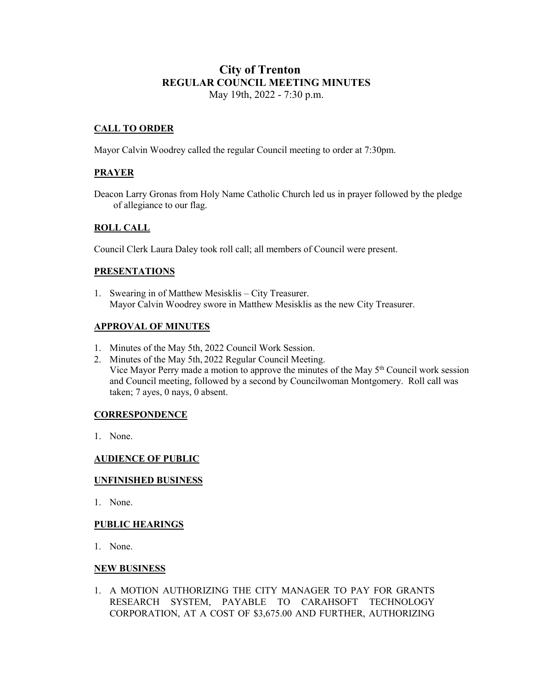# **City of Trenton REGULAR COUNCIL MEETING MINUTES** May 19th, 2022 - 7:30 p.m.

## **CALL TO ORDER**

Mayor Calvin Woodrey called the regular Council meeting to order at 7:30pm.

## **PRAYER**

Deacon Larry Gronas from Holy Name Catholic Church led us in prayer followed by the pledge of allegiance to our flag.

## **ROLL CALL**

Council Clerk Laura Daley took roll call; all members of Council were present.

#### **PRESENTATIONS**

1. Swearing in of Matthew Mesisklis – City Treasurer. Mayor Calvin Woodrey swore in Matthew Mesisklis as the new City Treasurer.

### **APPROVAL OF MINUTES**

- 1. Minutes of the May 5th, 2022 Council Work Session.
- 2. Minutes of the May 5th, 2022 Regular Council Meeting. Vice Mayor Perry made a motion to approve the minutes of the May  $5<sup>th</sup>$  Council work session and Council meeting, followed by a second by Councilwoman Montgomery. Roll call was taken; 7 ayes, 0 nays, 0 absent.

#### **CORRESPONDENCE**

1. None.

### **AUDIENCE OF PUBLIC**

### **UNFINISHED BUSINESS**

1. None.

### **PUBLIC HEARINGS**

1. None.

#### **NEW BUSINESS**

1. A MOTION AUTHORIZING THE CITY MANAGER TO PAY FOR GRANTS RESEARCH SYSTEM, PAYABLE TO CARAHSOFT TECHNOLOGY CORPORATION, AT A COST OF \$3,675.00 AND FURTHER, AUTHORIZING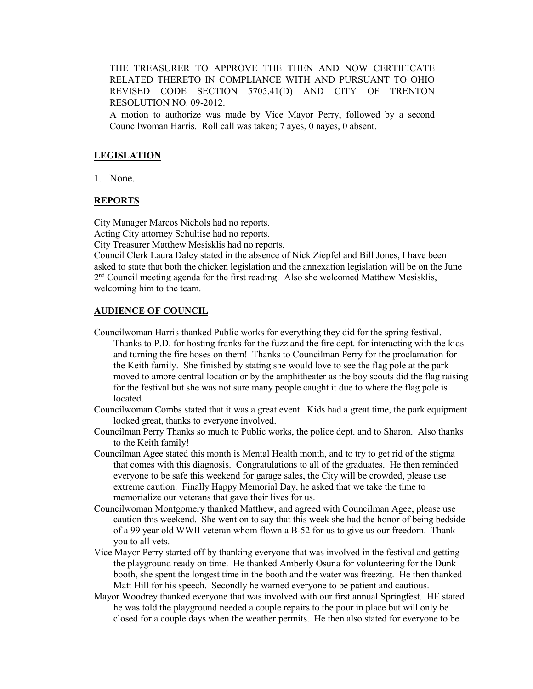THE TREASURER TO APPROVE THE THEN AND NOW CERTIFICATE RELATED THERETO IN COMPLIANCE WITH AND PURSUANT TO OHIO REVISED CODE SECTION 5705.41(D) AND CITY OF TRENTON RESOLUTION NO. 09-2012.

A motion to authorize was made by Vice Mayor Perry, followed by a second Councilwoman Harris. Roll call was taken; 7 ayes, 0 nayes, 0 absent.

#### **LEGISLATION**

1. None.

## **REPORTS**

City Manager Marcos Nichols had no reports.

Acting City attorney Schultise had no reports.

City Treasurer Matthew Mesisklis had no reports.

Council Clerk Laura Daley stated in the absence of Nick Ziepfel and Bill Jones, I have been asked to state that both the chicken legislation and the annexation legislation will be on the June 2<sup>nd</sup> Council meeting agenda for the first reading. Also she welcomed Matthew Mesisklis, welcoming him to the team.

#### **AUDIENCE OF COUNCIL**

- Councilwoman Harris thanked Public works for everything they did for the spring festival. Thanks to P.D. for hosting franks for the fuzz and the fire dept. for interacting with the kids and turning the fire hoses on them! Thanks to Councilman Perry for the proclamation for the Keith family. She finished by stating she would love to see the flag pole at the park moved to amore central location or by the amphitheater as the boy scouts did the flag raising for the festival but she was not sure many people caught it due to where the flag pole is located.
- Councilwoman Combs stated that it was a great event. Kids had a great time, the park equipment looked great, thanks to everyone involved.
- Councilman Perry Thanks so much to Public works, the police dept. and to Sharon. Also thanks to the Keith family!
- Councilman Agee stated this month is Mental Health month, and to try to get rid of the stigma that comes with this diagnosis. Congratulations to all of the graduates. He then reminded everyone to be safe this weekend for garage sales, the City will be crowded, please use extreme caution. Finally Happy Memorial Day, he asked that we take the time to memorialize our veterans that gave their lives for us.
- Councilwoman Montgomery thanked Matthew, and agreed with Councilman Agee, please use caution this weekend. She went on to say that this week she had the honor of being bedside of a 99 year old WWII veteran whom flown a B-52 for us to give us our freedom. Thank you to all vets.
- Vice Mayor Perry started off by thanking everyone that was involved in the festival and getting the playground ready on time. He thanked Amberly Osuna for volunteering for the Dunk booth, she spent the longest time in the booth and the water was freezing. He then thanked Matt Hill for his speech. Secondly he warned everyone to be patient and cautious.
- Mayor Woodrey thanked everyone that was involved with our first annual Springfest. HE stated he was told the playground needed a couple repairs to the pour in place but will only be closed for a couple days when the weather permits. He then also stated for everyone to be